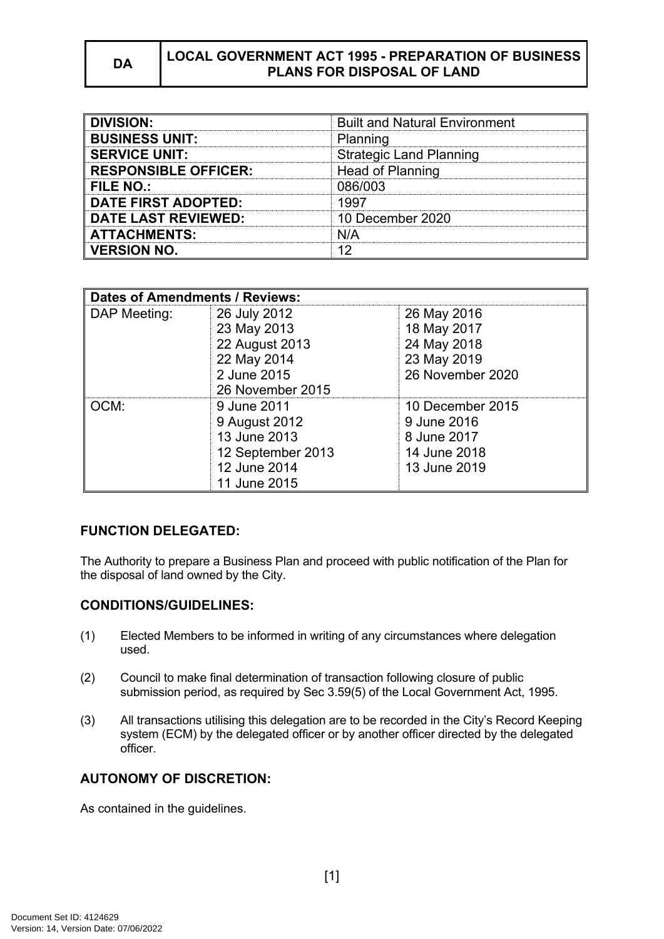# **DA LOCAL GOVERNMENT ACT 1995 - PREPARATION OF BUSINESS PLANS FOR DISPOSAL OF LAND**

| <b>DIVISION:</b>            | <b>Built and Natural Environment</b> |
|-----------------------------|--------------------------------------|
| <b>BUSINESS UNIT:</b>       | Planning                             |
| <b>SERVICE UNIT:</b>        | <b>Strategic Land Planning</b>       |
| <b>RESPONSIBLE OFFICER:</b> | Head of Planning                     |
| <b>FILE NO.:</b>            | 086/003                              |
| <b>DATE FIRST ADOPTED:</b>  |                                      |
| <b>DATE LAST REVIEWED:</b>  | 10 December 2020                     |
| <b>ATTACHMENTS:</b>         | N/A                                  |
| <b>VERSION NO.</b>          |                                      |

| <b>Dates of Amendments / Reviews:</b> |                   |                  |
|---------------------------------------|-------------------|------------------|
| DAP Meeting:                          | 26 July 2012      | 26 May 2016      |
|                                       | 23 May 2013       | 18 May 2017      |
|                                       | 22 August 2013    | 24 May 2018      |
|                                       | 22 May 2014       | 23 May 2019      |
|                                       | 2 June 2015       | 26 November 2020 |
|                                       | 26 November 2015  |                  |
| OCM:                                  | 9 June 2011       | 10 December 2015 |
|                                       | 9 August 2012     | 9 June 2016      |
|                                       | 13 June 2013      | 8 June 2017      |
|                                       | 12 September 2013 | 14 June 2018     |
|                                       | 12 June 2014      | 13 June 2019     |
|                                       | 11 June 2015      |                  |

### **FUNCTION DELEGATED:**

The Authority to prepare a Business Plan and proceed with public notification of the Plan for the disposal of land owned by the City.

### **CONDITIONS/GUIDELINES:**

- (1) Elected Members to be informed in writing of any circumstances where delegation used.
- (2) Council to make final determination of transaction following closure of public submission period, as required by Sec 3.59(5) of the Local Government Act, 1995.
- (3) All transactions utilising this delegation are to be recorded in the City's Record Keeping system (ECM) by the delegated officer or by another officer directed by the delegated officer.

# **AUTONOMY OF DISCRETION:**

As contained in the guidelines.